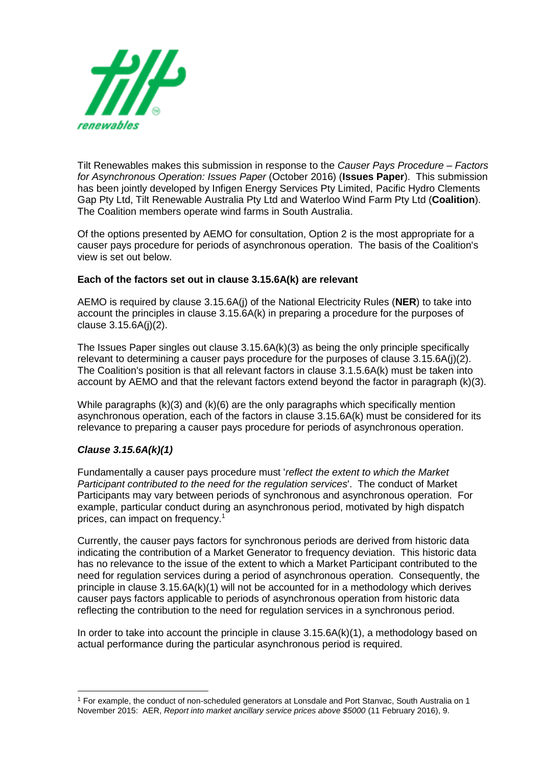

Tilt Renewables makes this submission in response to the *Causer Pays Procedure – Factors for Asynchronous Operation: Issues Paper* (October 2016) (**Issues Paper**). This submission has been jointly developed by Infigen Energy Services Pty Limited, Pacific Hydro Clements Gap Pty Ltd, Tilt Renewable Australia Pty Ltd and Waterloo Wind Farm Pty Ltd (**Coalition**). The Coalition members operate wind farms in South Australia.

Of the options presented by AEMO for consultation, Option 2 is the most appropriate for a causer pays procedure for periods of asynchronous operation. The basis of the Coalition's view is set out below.

### **Each of the factors set out in clause 3.15.6A(k) are relevant**

AEMO is required by clause 3.15.6A(j) of the National Electricity Rules (**NER**) to take into account the principles in clause 3.15.6A(k) in preparing a procedure for the purposes of clause 3.15.6A(j)(2).

The Issues Paper singles out clause 3.15.6A(k)(3) as being the only principle specifically relevant to determining a causer pays procedure for the purposes of clause 3.15.6A(j)(2). The Coalition's position is that all relevant factors in clause 3.1.5.6A(k) must be taken into account by AEMO and that the relevant factors extend beyond the factor in paragraph (k)(3).

While paragraphs  $(k)(3)$  and  $(k)(6)$  are the only paragraphs which specifically mention asynchronous operation, each of the factors in clause 3.15.6A(k) must be considered for its relevance to preparing a causer pays procedure for periods of asynchronous operation.

## *Clause 3.15.6A(k)(1)*

1

Fundamentally a causer pays procedure must '*reflect the extent to which the Market Participant contributed to the need for the regulation services*'. The conduct of Market Participants may vary between periods of synchronous and asynchronous operation. For example, particular conduct during an asynchronous period, motivated by high dispatch prices, can impact on frequency.<sup>1</sup>

Currently, the causer pays factors for synchronous periods are derived from historic data indicating the contribution of a Market Generator to frequency deviation. This historic data has no relevance to the issue of the extent to which a Market Participant contributed to the need for regulation services during a period of asynchronous operation. Consequently, the principle in clause 3.15.6A(k)(1) will not be accounted for in a methodology which derives causer pays factors applicable to periods of asynchronous operation from historic data reflecting the contribution to the need for regulation services in a synchronous period.

In order to take into account the principle in clause 3.15.6A(k)(1), a methodology based on actual performance during the particular asynchronous period is required.

<sup>1</sup> For example, the conduct of non-scheduled generators at Lonsdale and Port Stanvac, South Australia on 1 November 2015: AER, *Report into market ancillary service prices above \$5000* (11 February 2016), 9.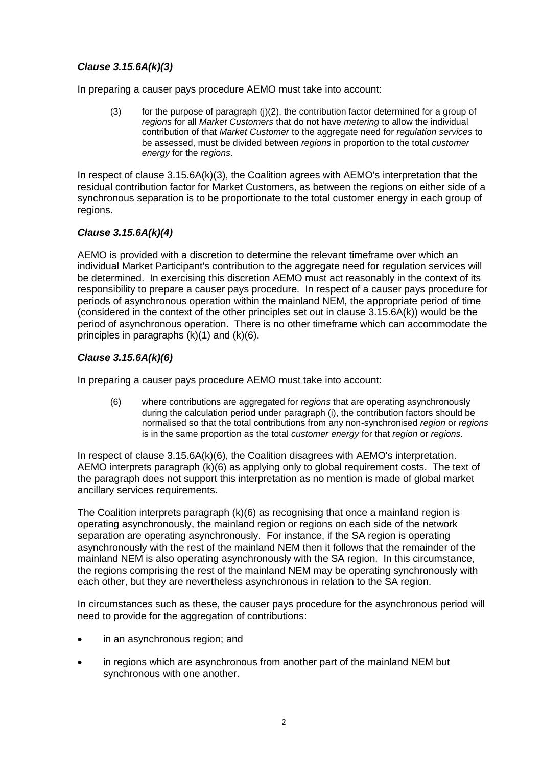## *Clause 3.15.6A(k)(3)*

In preparing a causer pays procedure AEMO must take into account:

(3) for the purpose of paragraph  $(i)(2)$ , the contribution factor determined for a group of *regions* for all *Market Customers* that do not have *metering* to allow the individual contribution of that *Market Customer* to the aggregate need for *regulation services* to be assessed, must be divided between *regions* in proportion to the total *customer energy* for the *regions*.

In respect of clause 3.15.6A(k)(3), the Coalition agrees with AEMO's interpretation that the residual contribution factor for Market Customers, as between the regions on either side of a synchronous separation is to be proportionate to the total customer energy in each group of regions.

### *Clause 3.15.6A(k)(4)*

AEMO is provided with a discretion to determine the relevant timeframe over which an individual Market Participant's contribution to the aggregate need for regulation services will be determined. In exercising this discretion AEMO must act reasonably in the context of its responsibility to prepare a causer pays procedure. In respect of a causer pays procedure for periods of asynchronous operation within the mainland NEM, the appropriate period of time (considered in the context of the other principles set out in clause 3.15.6A(k)) would be the period of asynchronous operation. There is no other timeframe which can accommodate the principles in paragraphs (k)(1) and (k)(6).

## *Clause 3.15.6A(k)(6)*

In preparing a causer pays procedure AEMO must take into account:

(6) where contributions are aggregated for *regions* that are operating asynchronously during the calculation period under paragraph (i), the contribution factors should be normalised so that the total contributions from any non-synchronised *region* or *regions*  is in the same proportion as the total *customer energy* for that *region* or *regions.*

In respect of clause 3.15.6A(k)(6), the Coalition disagrees with AEMO's interpretation. AEMO interprets paragraph (k)(6) as applying only to global requirement costs. The text of the paragraph does not support this interpretation as no mention is made of global market ancillary services requirements.

The Coalition interprets paragraph (k)(6) as recognising that once a mainland region is operating asynchronously, the mainland region or regions on each side of the network separation are operating asynchronously. For instance, if the SA region is operating asynchronously with the rest of the mainland NEM then it follows that the remainder of the mainland NEM is also operating asynchronously with the SA region. In this circumstance, the regions comprising the rest of the mainland NEM may be operating synchronously with each other, but they are nevertheless asynchronous in relation to the SA region.

In circumstances such as these, the causer pays procedure for the asynchronous period will need to provide for the aggregation of contributions:

- in an asynchronous region; and
- in regions which are asynchronous from another part of the mainland NEM but synchronous with one another.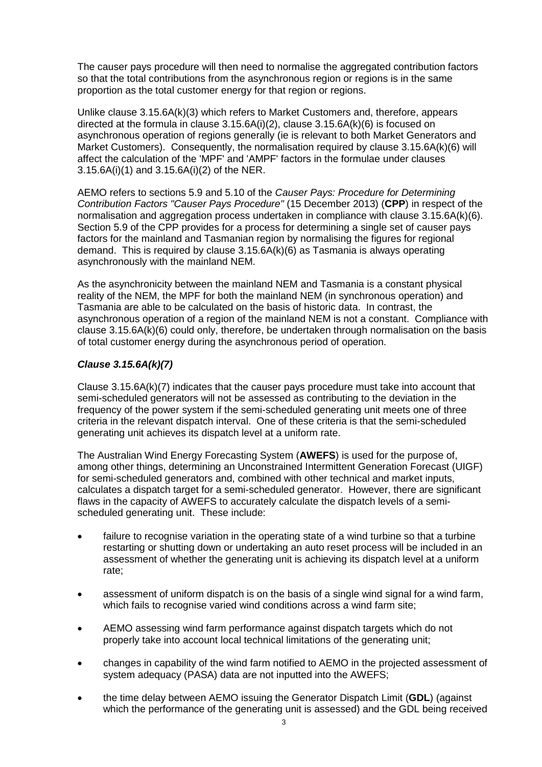The causer pays procedure will then need to normalise the aggregated contribution factors so that the total contributions from the asynchronous region or regions is in the same proportion as the total customer energy for that region or regions.

Unlike clause 3.15.6A(k)(3) which refers to Market Customers and, therefore, appears directed at the formula in clause 3.15.6A(i)(2), clause 3.15.6A(k)(6) is focused on asynchronous operation of regions generally (ie is relevant to both Market Generators and Market Customers). Consequently, the normalisation required by clause 3.15.6A(k)(6) will affect the calculation of the 'MPF' and 'AMPF' factors in the formulae under clauses 3.15.6A(i)(1) and 3.15.6A(i)(2) of the NER.

AEMO refers to sections 5.9 and 5.10 of the *Causer Pays: Procedure for Determining Contribution Factors "Causer Pays Procedure"* (15 December 2013) (**CPP**) in respect of the normalisation and aggregation process undertaken in compliance with clause 3.15.6A(k)(6). Section 5.9 of the CPP provides for a process for determining a single set of causer pays factors for the mainland and Tasmanian region by normalising the figures for regional demand. This is required by clause 3.15.6A(k)(6) as Tasmania is always operating asynchronously with the mainland NEM.

As the asynchronicity between the mainland NEM and Tasmania is a constant physical reality of the NEM, the MPF for both the mainland NEM (in synchronous operation) and Tasmania are able to be calculated on the basis of historic data. In contrast, the asynchronous operation of a region of the mainland NEM is not a constant. Compliance with clause 3.15.6A(k)(6) could only, therefore, be undertaken through normalisation on the basis of total customer energy during the asynchronous period of operation.

# *Clause 3.15.6A(k)(7)*

Clause 3.15.6A(k)(7) indicates that the causer pays procedure must take into account that semi-scheduled generators will not be assessed as contributing to the deviation in the frequency of the power system if the semi-scheduled generating unit meets one of three criteria in the relevant dispatch interval. One of these criteria is that the semi-scheduled generating unit achieves its dispatch level at a uniform rate.

The Australian Wind Energy Forecasting System (**AWEFS**) is used for the purpose of, among other things, determining an Unconstrained Intermittent Generation Forecast (UIGF) for semi-scheduled generators and, combined with other technical and market inputs, calculates a dispatch target for a semi-scheduled generator. However, there are significant flaws in the capacity of AWEFS to accurately calculate the dispatch levels of a semischeduled generating unit. These include:

- failure to recognise variation in the operating state of a wind turbine so that a turbine restarting or shutting down or undertaking an auto reset process will be included in an assessment of whether the generating unit is achieving its dispatch level at a uniform rate;
- assessment of uniform dispatch is on the basis of a single wind signal for a wind farm, which fails to recognise varied wind conditions across a wind farm site:
- AEMO assessing wind farm performance against dispatch targets which do not properly take into account local technical limitations of the generating unit;
- changes in capability of the wind farm notified to AEMO in the projected assessment of system adequacy (PASA) data are not inputted into the AWEFS;
- the time delay between AEMO issuing the Generator Dispatch Limit (**GDL**) (against which the performance of the generating unit is assessed) and the GDL being received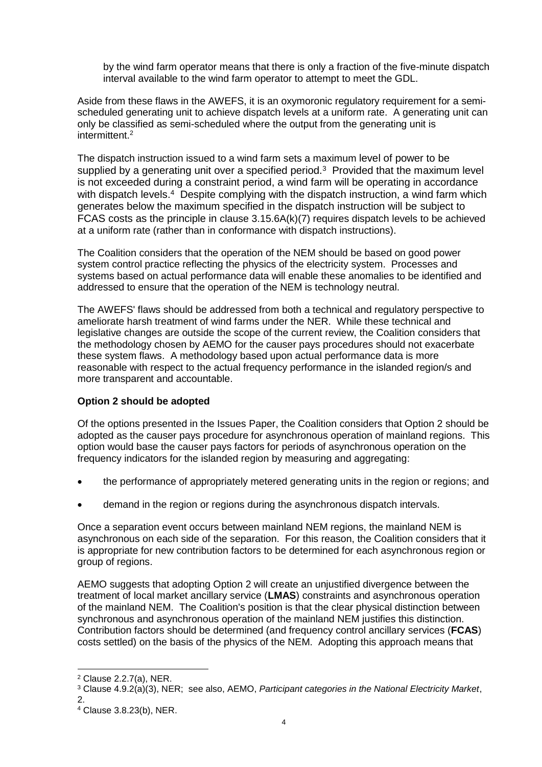by the wind farm operator means that there is only a fraction of the five-minute dispatch interval available to the wind farm operator to attempt to meet the GDL.

Aside from these flaws in the AWEFS, it is an oxymoronic regulatory requirement for a semischeduled generating unit to achieve dispatch levels at a uniform rate. A generating unit can only be classified as semi-scheduled where the output from the generating unit is intermittent.<sup>2</sup>

The dispatch instruction issued to a wind farm sets a maximum level of power to be supplied by a generating unit over a specified period.<sup>3</sup> Provided that the maximum level is not exceeded during a constraint period, a wind farm will be operating in accordance with dispatch levels.<sup>4</sup> Despite complying with the dispatch instruction, a wind farm which generates below the maximum specified in the dispatch instruction will be subject to FCAS costs as the principle in clause 3.15.6A(k)(7) requires dispatch levels to be achieved at a uniform rate (rather than in conformance with dispatch instructions).

The Coalition considers that the operation of the NEM should be based on good power system control practice reflecting the physics of the electricity system. Processes and systems based on actual performance data will enable these anomalies to be identified and addressed to ensure that the operation of the NEM is technology neutral.

The AWEFS' flaws should be addressed from both a technical and regulatory perspective to ameliorate harsh treatment of wind farms under the NER. While these technical and legislative changes are outside the scope of the current review, the Coalition considers that the methodology chosen by AEMO for the causer pays procedures should not exacerbate these system flaws. A methodology based upon actual performance data is more reasonable with respect to the actual frequency performance in the islanded region/s and more transparent and accountable.

## **Option 2 should be adopted**

Of the options presented in the Issues Paper, the Coalition considers that Option 2 should be adopted as the causer pays procedure for asynchronous operation of mainland regions. This option would base the causer pays factors for periods of asynchronous operation on the frequency indicators for the islanded region by measuring and aggregating:

- the performance of appropriately metered generating units in the region or regions; and
- demand in the region or regions during the asynchronous dispatch intervals.

Once a separation event occurs between mainland NEM regions, the mainland NEM is asynchronous on each side of the separation. For this reason, the Coalition considers that it is appropriate for new contribution factors to be determined for each asynchronous region or group of regions.

AEMO suggests that adopting Option 2 will create an unjustified divergence between the treatment of local market ancillary service (**LMAS**) constraints and asynchronous operation of the mainland NEM. The Coalition's position is that the clear physical distinction between synchronous and asynchronous operation of the mainland NEM justifies this distinction. Contribution factors should be determined (and frequency control ancillary services (**FCAS**) costs settled) on the basis of the physics of the NEM. Adopting this approach means that

-

<sup>2</sup> Clause 2.2.7(a), NER.

<sup>3</sup> Clause 4.9.2(a)(3), NER; see also, AEMO, *Participant categories in the National Electricity Market*, 2.

<sup>4</sup> Clause 3.8.23(b), NER.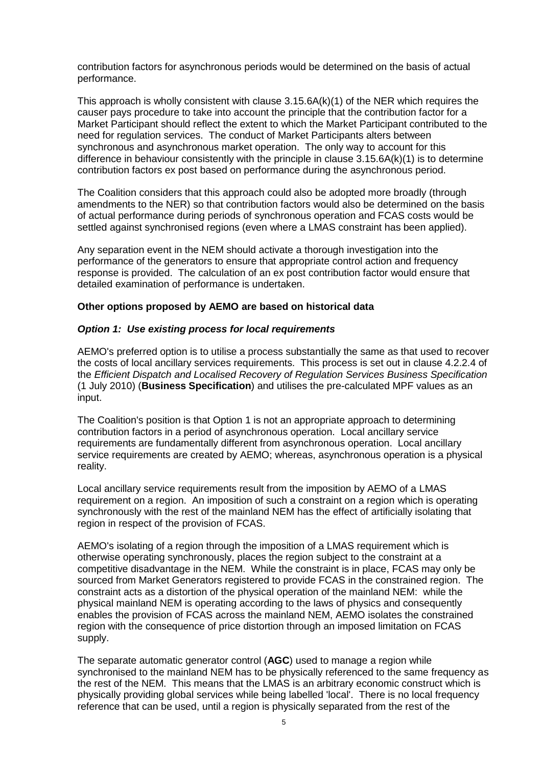contribution factors for asynchronous periods would be determined on the basis of actual performance.

This approach is wholly consistent with clause 3.15.6A(k)(1) of the NER which requires the causer pays procedure to take into account the principle that the contribution factor for a Market Participant should reflect the extent to which the Market Participant contributed to the need for regulation services. The conduct of Market Participants alters between synchronous and asynchronous market operation. The only way to account for this difference in behaviour consistently with the principle in clause 3.15.6A(k)(1) is to determine contribution factors ex post based on performance during the asynchronous period.

The Coalition considers that this approach could also be adopted more broadly (through amendments to the NER) so that contribution factors would also be determined on the basis of actual performance during periods of synchronous operation and FCAS costs would be settled against synchronised regions (even where a LMAS constraint has been applied).

Any separation event in the NEM should activate a thorough investigation into the performance of the generators to ensure that appropriate control action and frequency response is provided. The calculation of an ex post contribution factor would ensure that detailed examination of performance is undertaken.

### **Other options proposed by AEMO are based on historical data**

#### *Option 1: Use existing process for local requirements*

AEMO's preferred option is to utilise a process substantially the same as that used to recover the costs of local ancillary services requirements. This process is set out in clause 4.2.2.4 of the *Efficient Dispatch and Localised Recovery of Regulation Services Business Specification*  (1 July 2010) (**Business Specification**) and utilises the pre-calculated MPF values as an input.

The Coalition's position is that Option 1 is not an appropriate approach to determining contribution factors in a period of asynchronous operation. Local ancillary service requirements are fundamentally different from asynchronous operation. Local ancillary service requirements are created by AEMO; whereas, asynchronous operation is a physical reality.

Local ancillary service requirements result from the imposition by AEMO of a LMAS requirement on a region. An imposition of such a constraint on a region which is operating synchronously with the rest of the mainland NEM has the effect of artificially isolating that region in respect of the provision of FCAS.

AEMO's isolating of a region through the imposition of a LMAS requirement which is otherwise operating synchronously, places the region subject to the constraint at a competitive disadvantage in the NEM. While the constraint is in place, FCAS may only be sourced from Market Generators registered to provide FCAS in the constrained region. The constraint acts as a distortion of the physical operation of the mainland NEM: while the physical mainland NEM is operating according to the laws of physics and consequently enables the provision of FCAS across the mainland NEM, AEMO isolates the constrained region with the consequence of price distortion through an imposed limitation on FCAS supply.

The separate automatic generator control (**AGC**) used to manage a region while synchronised to the mainland NEM has to be physically referenced to the same frequency as the rest of the NEM. This means that the LMAS is an arbitrary economic construct which is physically providing global services while being labelled 'local'. There is no local frequency reference that can be used, until a region is physically separated from the rest of the